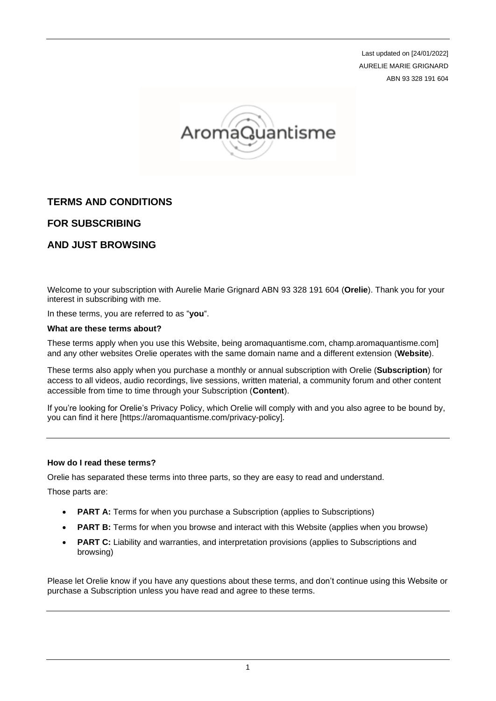Last updated on [24/01/2022] AURELIE MARIE GRIGNARD ABN 93 328 191 604



# **TERMS AND CONDITIONS**

## **FOR SUBSCRIBING**

## **AND JUST BROWSING**

Welcome to your subscription with Aurelie Marie Grignard ABN 93 328 191 604 (**Orelie**). Thank you for your interest in subscribing with me.

In these terms, you are referred to as "**you**".

#### **What are these terms about?**

These terms apply when you use this Website, being aromaquantisme.com, champ.aromaquantisme.com] and any other websites Orelie operates with the same domain name and a different extension (**Website**).

These terms also apply when you purchase a monthly or annual subscription with Orelie (**Subscription**) for access to all videos, audio recordings, live sessions, written material, a community forum and other content accessible from time to time through your Subscription (**Content**).

If you're looking for Orelie's Privacy Policy, which Orelie will comply with and you also agree to be bound by, you can find it here [https://aromaquantisme.com/privacy-policy].

### **How do I read these terms?**

Orelie has separated these terms into three parts, so they are easy to read and understand.

Those parts are:

- **PART A:** Terms for when you purchase a Subscription (applies to Subscriptions)
- **PART B:** Terms for when you browse and interact with this Website (applies when you browse)
- **PART C:** Liability and warranties, and interpretation provisions (applies to Subscriptions and browsing)

Please let Orelie know if you have any questions about these terms, and don't continue using this Website or purchase a Subscription unless you have read and agree to these terms.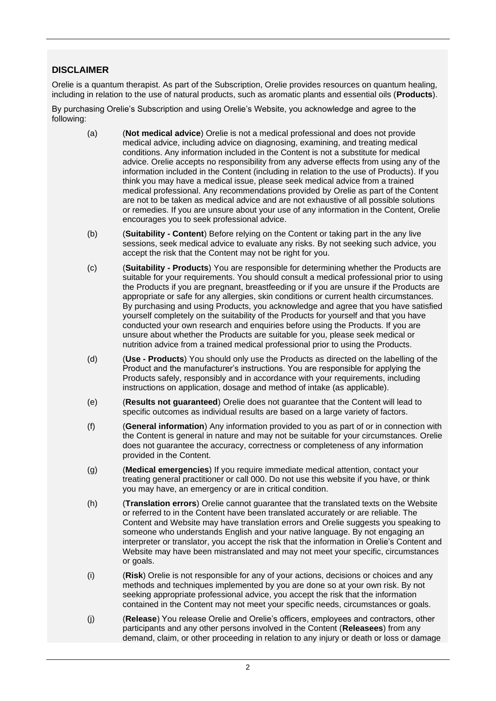## **DISCLAIMER**

Orelie is a quantum therapist. As part of the Subscription, Orelie provides resources on quantum healing, including in relation to the use of natural products, such as aromatic plants and essential oils (**Products**).

By purchasing Orelie's Subscription and using Orelie's Website, you acknowledge and agree to the following:

- (a) (**Not medical advice**) Orelie is not a medical professional and does not provide medical advice, including advice on diagnosing, examining, and treating medical conditions. Any information included in the Content is not a substitute for medical advice. Orelie accepts no responsibility from any adverse effects from using any of the information included in the Content (including in relation to the use of Products). If you think you may have a medical issue, please seek medical advice from a trained medical professional. Any recommendations provided by Orelie as part of the Content are not to be taken as medical advice and are not exhaustive of all possible solutions or remedies. If you are unsure about your use of any information in the Content, Orelie encourages you to seek professional advice.
- (b) (**Suitability - Content**) Before relying on the Content or taking part in the any live sessions, seek medical advice to evaluate any risks. By not seeking such advice, you accept the risk that the Content may not be right for you.
- (c) (**Suitability - Products**) You are responsible for determining whether the Products are suitable for your requirements. You should consult a medical professional prior to using the Products if you are pregnant, breastfeeding or if you are unsure if the Products are appropriate or safe for any allergies, skin conditions or current health circumstances. By purchasing and using Products, you acknowledge and agree that you have satisfied yourself completely on the suitability of the Products for yourself and that you have conducted your own research and enquiries before using the Products. If you are unsure about whether the Products are suitable for you, please seek medical or nutrition advice from a trained medical professional prior to using the Products.
- (d) (**Use - Products**) You should only use the Products as directed on the labelling of the Product and the manufacturer's instructions. You are responsible for applying the Products safely, responsibly and in accordance with your requirements, including instructions on application, dosage and method of intake (as applicable).
- (e) (**Results not guaranteed**) Orelie does not guarantee that the Content will lead to specific outcomes as individual results are based on a large variety of factors.
- (f) (**General information**) Any information provided to you as part of or in connection with the Content is general in nature and may not be suitable for your circumstances. Orelie does not guarantee the accuracy, correctness or completeness of any information provided in the Content.
- (g) (**Medical emergencies**) If you require immediate medical attention, contact your treating general practitioner or call 000. Do not use this website if you have, or think you may have, an emergency or are in critical condition.
- (h) (**Translation errors**) Orelie cannot guarantee that the translated texts on the Website or referred to in the Content have been translated accurately or are reliable. The Content and Website may have translation errors and Orelie suggests you speaking to someone who understands English and your native language. By not engaging an interpreter or translator, you accept the risk that the information in Orelie's Content and Website may have been mistranslated and may not meet your specific, circumstances or goals.
- (i) (**Risk**) Orelie is not responsible for any of your actions, decisions or choices and any methods and techniques implemented by you are done so at your own risk. By not seeking appropriate professional advice, you accept the risk that the information contained in the Content may not meet your specific needs, circumstances or goals.
- (j) (**Release**) You release Orelie and Orelie's officers, employees and contractors, other participants and any other persons involved in the Content (**Releasees**) from any demand, claim, or other proceeding in relation to any injury or death or loss or damage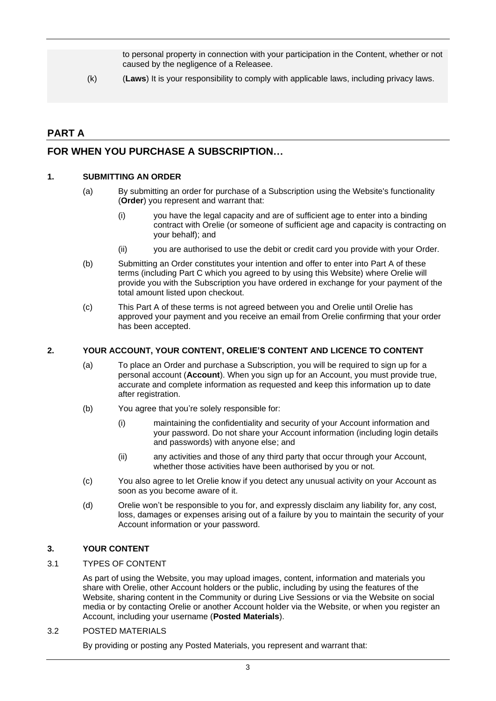to personal property in connection with your participation in the Content, whether or not caused by the negligence of a Releasee.

(k) (**Laws**) It is your responsibility to comply with applicable laws, including privacy laws.

# **PART A**

## **FOR WHEN YOU PURCHASE A SUBSCRIPTION…**

### **1. SUBMITTING AN ORDER**

- (a) By submitting an order for purchase of a Subscription using the Website's functionality (**Order**) you represent and warrant that:
	- (i) you have the legal capacity and are of sufficient age to enter into a binding contract with Orelie (or someone of sufficient age and capacity is contracting on your behalf); and
	- (ii) you are authorised to use the debit or credit card you provide with your Order.
- (b) Submitting an Order constitutes your intention and offer to enter into Part A of these terms (including Part C which you agreed to by using this Website) where Orelie will provide you with the Subscription you have ordered in exchange for your payment of the total amount listed upon checkout.
- (c) This Part A of these terms is not agreed between you and Orelie until Orelie has approved your payment and you receive an email from Orelie confirming that your order has been accepted.

### **2. YOUR ACCOUNT, YOUR CONTENT, ORELIE'S CONTENT AND LICENCE TO CONTENT**

- (a) To place an Order and purchase a Subscription, you will be required to sign up for a personal account (**Account**). When you sign up for an Account, you must provide true, accurate and complete information as requested and keep this information up to date after registration.
- (b) You agree that you're solely responsible for:
	- (i) maintaining the confidentiality and security of your Account information and your password. Do not share your Account information (including login details and passwords) with anyone else; and
	- (ii) any activities and those of any third party that occur through your Account, whether those activities have been authorised by you or not.
- (c) You also agree to let Orelie know if you detect any unusual activity on your Account as soon as you become aware of it.
- (d) Orelie won't be responsible to you for, and expressly disclaim any liability for, any cost, loss, damages or expenses arising out of a failure by you to maintain the security of your Account information or your password.

## <span id="page-2-0"></span>**3. YOUR CONTENT**

### 3.1 TYPES OF CONTENT

As part of using the Website, you may upload images, content, information and materials you share with Orelie, other Account holders or the public, including by using the features of the Website, sharing content in the Community or during Live Sessions or via the Website on social media or by contacting Orelie or another Account holder via the Website, or when you register an Account, including your username (**Posted Materials**).

### 3.2 POSTED MATERIALS

By providing or posting any Posted Materials, you represent and warrant that: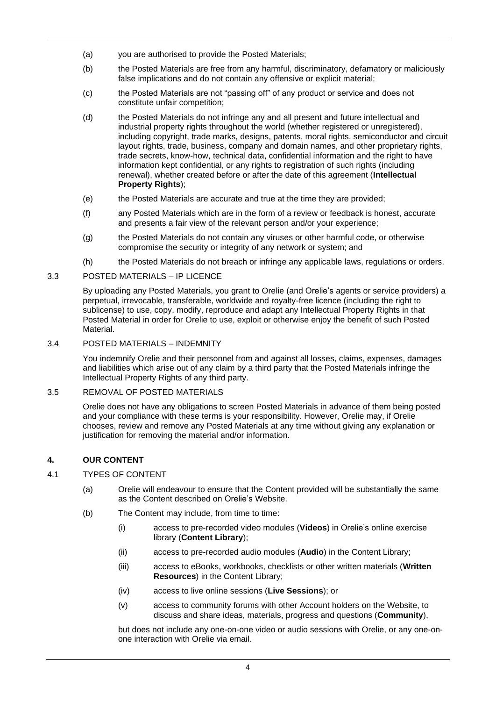- (a) you are authorised to provide the Posted Materials;
- (b) the Posted Materials are free from any harmful, discriminatory, defamatory or maliciously false implications and do not contain any offensive or explicit material;
- (c) the Posted Materials are not "passing off" of any product or service and does not constitute unfair competition;
- (d) the Posted Materials do not infringe any and all present and future intellectual and industrial property rights throughout the world (whether registered or unregistered), including copyright, trade marks, designs, patents, moral rights, semiconductor and circuit layout rights, trade, business, company and domain names, and other proprietary rights, trade secrets, know-how, technical data, confidential information and the right to have information kept confidential, or any rights to registration of such rights (including renewal), whether created before or after the date of this agreement (**Intellectual Property Rights**);
- (e) the Posted Materials are accurate and true at the time they are provided;
- (f) any Posted Materials which are in the form of a review or feedback is honest, accurate and presents a fair view of the relevant person and/or your experience;
- (g) the Posted Materials do not contain any viruses or other harmful code, or otherwise compromise the security or integrity of any network or system; and
- (h) the Posted Materials do not breach or infringe any applicable laws, regulations or orders.

#### 3.3 POSTED MATERIALS – IP LICENCE

By uploading any Posted Materials, you grant to Orelie (and Orelie's agents or service providers) a perpetual, irrevocable, transferable, worldwide and royalty-free licence (including the right to sublicense) to use, copy, modify, reproduce and adapt any Intellectual Property Rights in that Posted Material in order for Orelie to use, exploit or otherwise enjoy the benefit of such Posted Material.

#### 3.4 POSTED MATERIALS – INDEMNITY

You indemnify Orelie and their personnel from and against all losses, claims, expenses, damages and liabilities which arise out of any claim by a third party that the Posted Materials infringe the Intellectual Property Rights of any third party.

#### 3.5 REMOVAL OF POSTED MATERIALS

Orelie does not have any obligations to screen Posted Materials in advance of them being posted and your compliance with these terms is your responsibility. However, Orelie may, if Orelie chooses, review and remove any Posted Materials at any time without giving any explanation or justification for removing the material and/or information.

### **4. OUR CONTENT**

- 4.1 TYPES OF CONTENT
	- (a) Orelie will endeavour to ensure that the Content provided will be substantially the same as the Content described on Orelie's Website.
	- (b) The Content may include, from time to time:
		- (i) access to pre-recorded video modules (**Videos**) in Orelie's online exercise library (**Content Library**);
		- (ii) access to pre-recorded audio modules (**Audio**) in the Content Library;
		- (iii) access to eBooks, workbooks, checklists or other written materials (**Written Resources**) in the Content Library;
		- (iv) access to live online sessions (**Live Sessions**); or
		- (v) access to community forums with other Account holders on the Website, to discuss and share ideas, materials, progress and questions (**Community**),

but does not include any one-on-one video or audio sessions with Orelie, or any one-onone interaction with Orelie via email.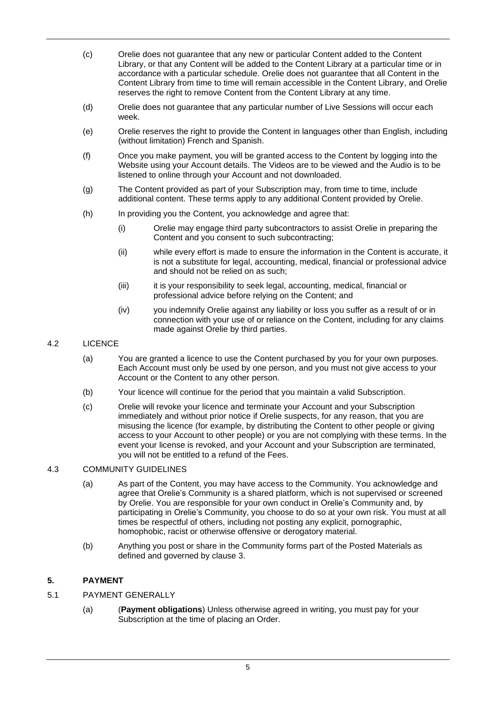- (c) Orelie does not guarantee that any new or particular Content added to the Content Library, or that any Content will be added to the Content Library at a particular time or in accordance with a particular schedule. Orelie does not guarantee that all Content in the Content Library from time to time will remain accessible in the Content Library, and Orelie reserves the right to remove Content from the Content Library at any time.
- (d) Orelie does not guarantee that any particular number of Live Sessions will occur each week.
- (e) Orelie reserves the right to provide the Content in languages other than English, including (without limitation) French and Spanish.
- (f) Once you make payment, you will be granted access to the Content by logging into the Website using your Account details. The Videos are to be viewed and the Audio is to be listened to online through your Account and not downloaded.
- (g) The Content provided as part of your Subscription may, from time to time, include additional content. These terms apply to any additional Content provided by Orelie.
- (h) In providing you the Content, you acknowledge and agree that:
	- (i) Orelie may engage third party subcontractors to assist Orelie in preparing the Content and you consent to such subcontracting;
	- (ii) while every effort is made to ensure the information in the Content is accurate, it is not a substitute for legal, accounting, medical, financial or professional advice and should not be relied on as such;
	- (iii) it is your responsibility to seek legal, accounting, medical, financial or professional advice before relying on the Content; and
	- (iv) you indemnify Orelie against any liability or loss you suffer as a result of or in connection with your use of or reliance on the Content, including for any claims made against Orelie by third parties.

### 4.2 LICENCE

- (a) You are granted a licence to use the Content purchased by you for your own purposes. Each Account must only be used by one person, and you must not give access to your Account or the Content to any other person.
- (b) Your licence will continue for the period that you maintain a valid Subscription.
- (c) Orelie will revoke your licence and terminate your Account and your Subscription immediately and without prior notice if Orelie suspects, for any reason, that you are misusing the licence (for example, by distributing the Content to other people or giving access to your Account to other people) or you are not complying with these terms. In the event your license is revoked, and your Account and your Subscription are terminated, you will not be entitled to a refund of the Fees.

### 4.3 COMMUNITY GUIDELINES

- (a) As part of the Content, you may have access to the Community. You acknowledge and agree that Orelie's Community is a shared platform, which is not supervised or screened by Orelie. You are responsible for your own conduct in Orelie's Community and, by participating in Orelie's Community, you choose to do so at your own risk. You must at all times be respectful of others, including not posting any explicit, pornographic, homophobic, racist or otherwise offensive or derogatory material.
- (b) Anything you post or share in the Community forms part of the Posted Materials as defined and governed by clause [3.](#page-2-0)

## **5. PAYMENT**

- 5.1 PAYMENT GENERALLY
	- (a) (**Payment obligations**) Unless otherwise agreed in writing, you must pay for your Subscription at the time of placing an Order.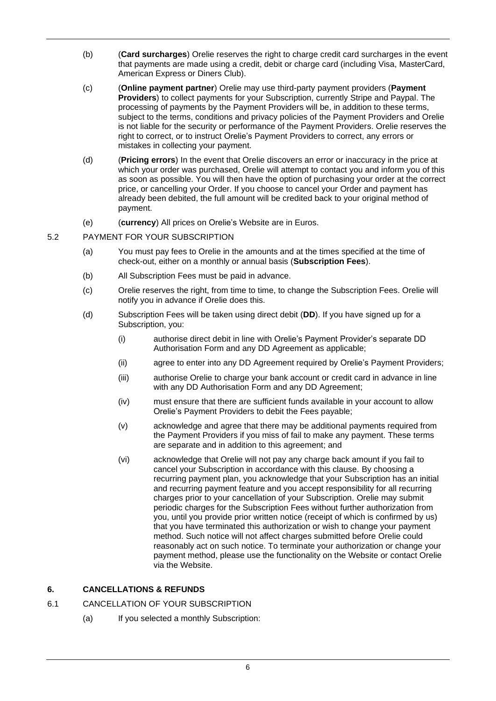- (b) (**Card surcharges**) Orelie reserves the right to charge credit card surcharges in the event that payments are made using a credit, debit or charge card (including Visa, MasterCard, American Express or Diners Club).
- (c) (**Online payment partner**) Orelie may use third-party payment providers (**Payment Providers**) to collect payments for your Subscription, currently Stripe and Paypal. The processing of payments by the Payment Providers will be, in addition to these terms, subject to the terms, conditions and privacy policies of the Payment Providers and Orelie is not liable for the security or performance of the Payment Providers. Orelie reserves the right to correct, or to instruct Orelie's Payment Providers to correct, any errors or mistakes in collecting your payment.
- (d) (**Pricing errors**) In the event that Orelie discovers an error or inaccuracy in the price at which your order was purchased, Orelie will attempt to contact you and inform you of this as soon as possible. You will then have the option of purchasing your order at the correct price, or cancelling your Order. If you choose to cancel your Order and payment has already been debited, the full amount will be credited back to your original method of payment.
- (e) (**currency**) All prices on Orelie's Website are in Euros.
- 5.2 PAYMENT FOR YOUR SUBSCRIPTION
	- (a) You must pay fees to Orelie in the amounts and at the times specified at the time of check-out, either on a monthly or annual basis (**Subscription Fees**).
	- (b) All Subscription Fees must be paid in advance.
	- (c) Orelie reserves the right, from time to time, to change the Subscription Fees. Orelie will notify you in advance if Orelie does this.
	- (d) Subscription Fees will be taken using direct debit (**DD**). If you have signed up for a Subscription, you:
		- (i) authorise direct debit in line with Orelie's Payment Provider's separate DD Authorisation Form and any DD Agreement as applicable;
		- (ii) agree to enter into any DD Agreement required by Orelie's Payment Providers;
		- (iii) authorise Orelie to charge your bank account or credit card in advance in line with any DD Authorisation Form and any DD Agreement;
		- (iv) must ensure that there are sufficient funds available in your account to allow Orelie's Payment Providers to debit the Fees payable;
		- (v) acknowledge and agree that there may be additional payments required from the Payment Providers if you miss of fail to make any payment. These terms are separate and in addition to this agreement; and
		- (vi) acknowledge that Orelie will not pay any charge back amount if you fail to cancel your Subscription in accordance with this clause. By choosing a recurring payment plan, you acknowledge that your Subscription has an initial and recurring payment feature and you accept responsibility for all recurring charges prior to your cancellation of your Subscription. Orelie may submit periodic charges for the Subscription Fees without further authorization from you, until you provide prior written notice (receipt of which is confirmed by us) that you have terminated this authorization or wish to change your payment method. Such notice will not affect charges submitted before Orelie could reasonably act on such notice. To terminate your authorization or change your payment method, please use the functionality on the Website or contact Orelie via the Website.

### <span id="page-5-0"></span>**6. CANCELLATIONS & REFUNDS**

- 6.1 CANCELLATION OF YOUR SUBSCRIPTION
	- (a) If you selected a monthly Subscription: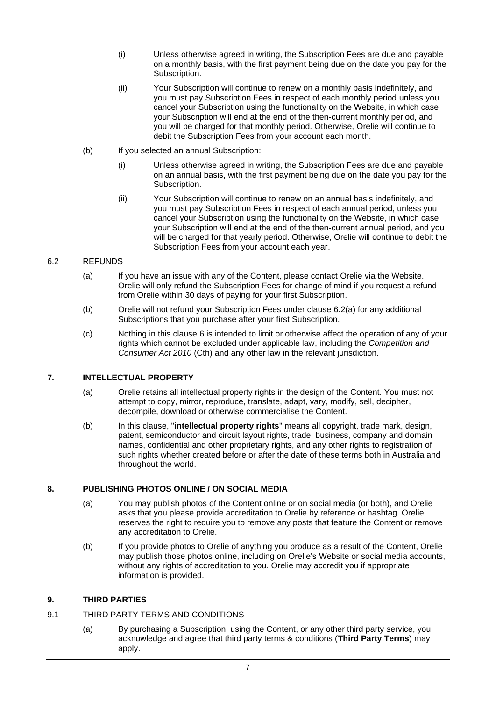- (i) Unless otherwise agreed in writing, the Subscription Fees are due and payable on a monthly basis, with the first payment being due on the date you pay for the Subscription.
- (ii) Your Subscription will continue to renew on a monthly basis indefinitely, and you must pay Subscription Fees in respect of each monthly period unless you cancel your Subscription using the functionality on the Website, in which case your Subscription will end at the end of the then-current monthly period, and you will be charged for that monthly period. Otherwise, Orelie will continue to debit the Subscription Fees from your account each month.
- (b) If you selected an annual Subscription:
	- (i) Unless otherwise agreed in writing, the Subscription Fees are due and payable on an annual basis, with the first payment being due on the date you pay for the Subscription.
	- (ii) Your Subscription will continue to renew on an annual basis indefinitely, and you must pay Subscription Fees in respect of each annual period, unless you cancel your Subscription using the functionality on the Website, in which case your Subscription will end at the end of the then-current annual period, and you will be charged for that yearly period. Otherwise, Orelie will continue to debit the Subscription Fees from your account each year.

## <span id="page-6-1"></span><span id="page-6-0"></span>6.2 REFUNDS

- (a) If you have an issue with any of the Content, please contact Orelie via the Website. Orelie will only refund the Subscription Fees for change of mind if you request a refund from Orelie within 30 days of paying for your first Subscription.
- (b) Orelie will not refund your Subscription Fees under clause [6.2](#page-6-0)[\(a\)](#page-6-1) for any additional Subscriptions that you purchase after your first Subscription.
- (c) Nothing in this clause [6](#page-5-0) is intended to limit or otherwise affect the operation of any of your rights which cannot be excluded under applicable law, including the *Competition and Consumer Act 2010* (Cth) and any other law in the relevant jurisdiction.

## **7. INTELLECTUAL PROPERTY**

- (a) Orelie retains all intellectual property rights in the design of the Content. You must not attempt to copy, mirror, reproduce, translate, adapt, vary, modify, sell, decipher, decompile, download or otherwise commercialise the Content.
- (b) In this clause, "**intellectual property rights**" means all copyright, trade mark, design, patent, semiconductor and circuit layout rights, trade, business, company and domain names, confidential and other proprietary rights, and any other rights to registration of such rights whether created before or after the date of these terms both in Australia and throughout the world.

### **8. PUBLISHING PHOTOS ONLINE / ON SOCIAL MEDIA**

- (a) You may publish photos of the Content online or on social media (or both), and Orelie asks that you please provide accreditation to Orelie by reference or hashtag. Orelie reserves the right to require you to remove any posts that feature the Content or remove any accreditation to Orelie.
- (b) If you provide photos to Orelie of anything you produce as a result of the Content, Orelie may publish those photos online, including on Orelie's Website or social media accounts, without any rights of accreditation to you. Orelie may accredit you if appropriate information is provided.

### **9. THIRD PARTIES**

- 9.1 THIRD PARTY TERMS AND CONDITIONS
	- (a) By purchasing a Subscription, using the Content, or any other third party service, you acknowledge and agree that third party terms & conditions (**Third Party Terms**) may apply.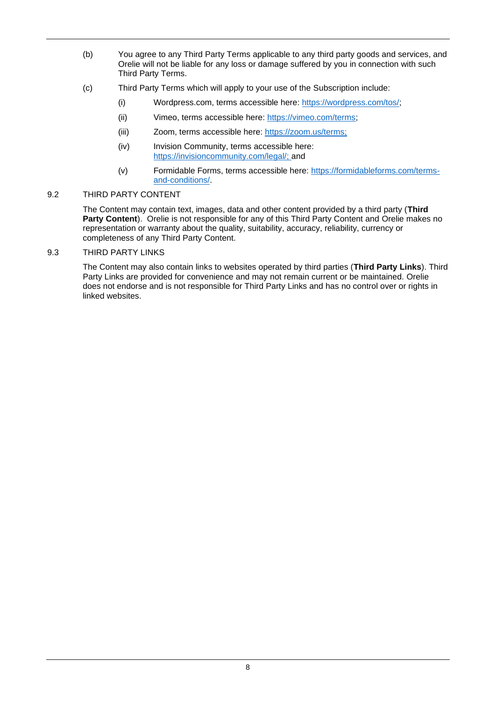- (b) You agree to any Third Party Terms applicable to any third party goods and services, and Orelie will not be liable for any loss or damage suffered by you in connection with such Third Party Terms.
- (c) Third Party Terms which will apply to your use of the Subscription include:
	- (i) Wordpress.com, terms accessible here: [https://wordpress.com/tos/;](https://wordpress.com/tos/)
	- (ii) Vimeo, terms accessible here: [https://vimeo.com/terms;](https://vimeo.com/terms)
	- (iii) Zoom, terms accessible here: [https://zoom.us/terms;](https://zoom.us/terms)
	- (iv) Invision Community, terms accessible here: [https://invisioncommunity.com/legal/;](https://invisioncommunity.com/legal/) and
	- (v) Formidable Forms, terms accessible here: [https://formidableforms.com/terms](https://formidableforms.com/terms-and-conditions/)[and-conditions/.](https://formidableforms.com/terms-and-conditions/)

### 9.2 THIRD PARTY CONTENT

The Content may contain text, images, data and other content provided by a third party (**Third**  Party Content). Orelie is not responsible for any of this Third Party Content and Orelie makes no representation or warranty about the quality, suitability, accuracy, reliability, currency or completeness of any Third Party Content.

9.3 THIRD PARTY LINKS

The Content may also contain links to websites operated by third parties (**Third Party Links**). Third Party Links are provided for convenience and may not remain current or be maintained. Orelie does not endorse and is not responsible for Third Party Links and has no control over or rights in linked websites.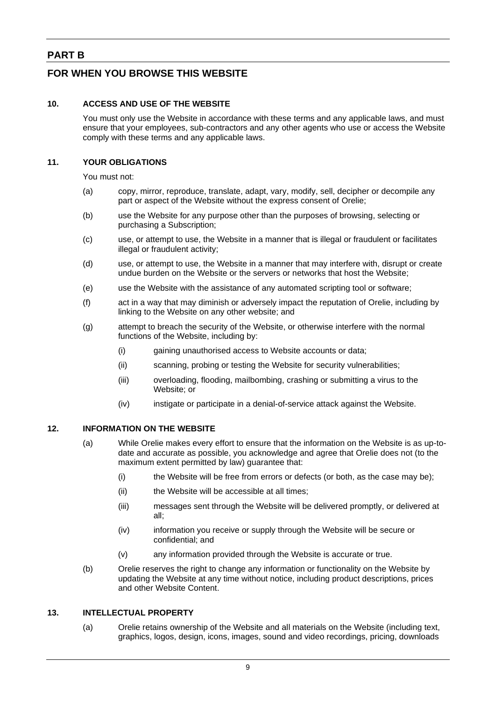## **PART B**

## **FOR WHEN YOU BROWSE THIS WEBSITE**

### **10. ACCESS AND USE OF THE WEBSITE**

You must only use the Website in accordance with these terms and any applicable laws, and must ensure that your employees, sub-contractors and any other agents who use or access the Website comply with these terms and any applicable laws.

### **11. YOUR OBLIGATIONS**

You must not:

- (a) copy, mirror, reproduce, translate, adapt, vary, modify, sell, decipher or decompile any part or aspect of the Website without the express consent of Orelie;
- (b) use the Website for any purpose other than the purposes of browsing, selecting or purchasing a Subscription;
- (c) use, or attempt to use, the Website in a manner that is illegal or fraudulent or facilitates illegal or fraudulent activity;
- (d) use, or attempt to use, the Website in a manner that may interfere with, disrupt or create undue burden on the Website or the servers or networks that host the Website;
- (e) use the Website with the assistance of any automated scripting tool or software;
- (f) act in a way that may diminish or adversely impact the reputation of Orelie, including by linking to the Website on any other website; and
- (g) attempt to breach the security of the Website, or otherwise interfere with the normal functions of the Website, including by:
	- (i) gaining unauthorised access to Website accounts or data;
	- (ii) scanning, probing or testing the Website for security vulnerabilities;
	- (iii) overloading, flooding, mailbombing, crashing or submitting a virus to the Website; or
	- (iv) instigate or participate in a denial-of-service attack against the Website.

### **12. INFORMATION ON THE WEBSITE**

- (a) While Orelie makes every effort to ensure that the information on the Website is as up-todate and accurate as possible, you acknowledge and agree that Orelie does not (to the maximum extent permitted by law) guarantee that:
	- (i) the Website will be free from errors or defects (or both, as the case may be);
	- (ii) the Website will be accessible at all times;
	- (iii) messages sent through the Website will be delivered promptly, or delivered at all;
	- (iv) information you receive or supply through the Website will be secure or confidential; and
	- (v) any information provided through the Website is accurate or true.
- (b) Orelie reserves the right to change any information or functionality on the Website by updating the Website at any time without notice, including product descriptions, prices and other Website Content.

### **13. INTELLECTUAL PROPERTY**

(a) Orelie retains ownership of the Website and all materials on the Website (including text, graphics, logos, design, icons, images, sound and video recordings, pricing, downloads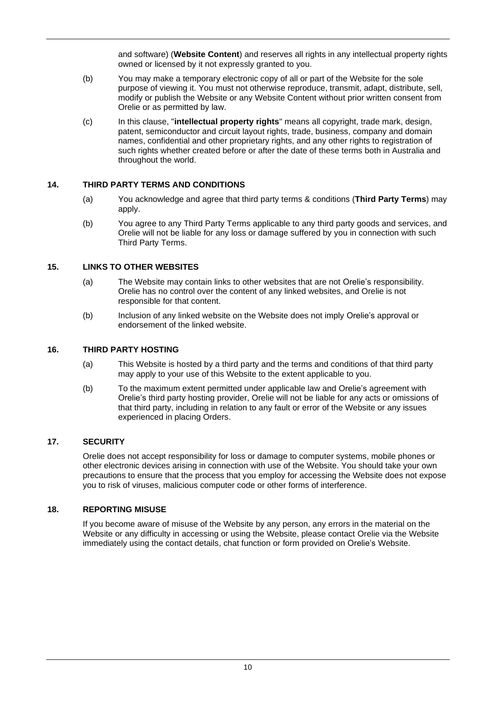and software) (**Website Content**) and reserves all rights in any intellectual property rights owned or licensed by it not expressly granted to you.

- (b) You may make a temporary electronic copy of all or part of the Website for the sole purpose of viewing it. You must not otherwise reproduce, transmit, adapt, distribute, sell, modify or publish the Website or any Website Content without prior written consent from Orelie or as permitted by law.
- (c) In this clause, "**intellectual property rights**" means all copyright, trade mark, design, patent, semiconductor and circuit layout rights, trade, business, company and domain names, confidential and other proprietary rights, and any other rights to registration of such rights whether created before or after the date of these terms both in Australia and throughout the world.

### **14. THIRD PARTY TERMS AND CONDITIONS**

- (a) You acknowledge and agree that third party terms & conditions (**Third Party Terms**) may apply.
- (b) You agree to any Third Party Terms applicable to any third party goods and services, and Orelie will not be liable for any loss or damage suffered by you in connection with such Third Party Terms.

### **15. LINKS TO OTHER WEBSITES**

- (a) The Website may contain links to other websites that are not Orelie's responsibility. Orelie has no control over the content of any linked websites, and Orelie is not responsible for that content.
- (b) Inclusion of any linked website on the Website does not imply Orelie's approval or endorsement of the linked website.

### **16. THIRD PARTY HOSTING**

- (a) This Website is hosted by a third party and the terms and conditions of that third party may apply to your use of this Website to the extent applicable to you.
- (b) To the maximum extent permitted under applicable law and Orelie's agreement with Orelie's third party hosting provider, Orelie will not be liable for any acts or omissions of that third party, including in relation to any fault or error of the Website or any issues experienced in placing Orders.

### **17. SECURITY**

Orelie does not accept responsibility for loss or damage to computer systems, mobile phones or other electronic devices arising in connection with use of the Website. You should take your own precautions to ensure that the process that you employ for accessing the Website does not expose you to risk of viruses, malicious computer code or other forms of interference.

### **18. REPORTING MISUSE**

If you become aware of misuse of the Website by any person, any errors in the material on the Website or any difficulty in accessing or using the Website, please contact Orelie via the Website immediately using the contact details, chat function or form provided on Orelie's Website.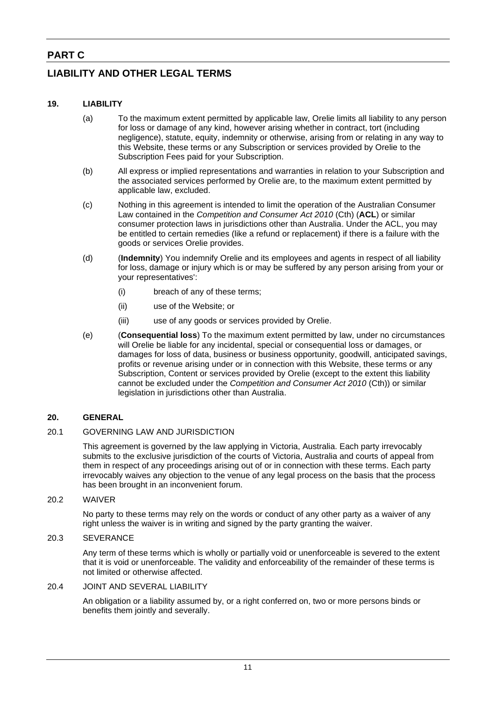## **PART C**

## **LIABILITY AND OTHER LEGAL TERMS**

### **19. LIABILITY**

- (a) To the maximum extent permitted by applicable law, Orelie limits all liability to any person for loss or damage of any kind, however arising whether in contract, tort (including negligence), statute, equity, indemnity or otherwise, arising from or relating in any way to this Website, these terms or any Subscription or services provided by Orelie to the Subscription Fees paid for your Subscription.
- (b) All express or implied representations and warranties in relation to your Subscription and the associated services performed by Orelie are, to the maximum extent permitted by applicable law, excluded.
- (c) Nothing in this agreement is intended to limit the operation of the Australian Consumer Law contained in the *Competition and Consumer Act 2010* (Cth) (**ACL**) or similar consumer protection laws in jurisdictions other than Australia. Under the ACL, you may be entitled to certain remedies (like a refund or replacement) if there is a failure with the goods or services Orelie provides.
- (d) (**Indemnity**) You indemnify Orelie and its employees and agents in respect of all liability for loss, damage or injury which is or may be suffered by any person arising from your or your representatives':
	- (i) breach of any of these terms;
	- (ii) use of the Website; or
	- (iii) use of any goods or services provided by Orelie.
- (e) (**Consequential loss**) To the maximum extent permitted by law, under no circumstances will Orelie be liable for any incidental, special or consequential loss or damages, or damages for loss of data, business or business opportunity, goodwill, anticipated savings, profits or revenue arising under or in connection with this Website, these terms or any Subscription, Content or services provided by Orelie (except to the extent this liability cannot be excluded under the *Competition and Consumer Act 2010* (Cth)) or similar legislation in jurisdictions other than Australia.

### **20. GENERAL**

### 20.1 GOVERNING LAW AND JURISDICTION

This agreement is governed by the law applying in Victoria, Australia. Each party irrevocably submits to the exclusive jurisdiction of the courts of Victoria, Australia and courts of appeal from them in respect of any proceedings arising out of or in connection with these terms. Each party irrevocably waives any objection to the venue of any legal process on the basis that the process has been brought in an inconvenient forum.

#### 20.2 WAIVER

No party to these terms may rely on the words or conduct of any other party as a waiver of any right unless the waiver is in writing and signed by the party granting the waiver.

### 20.3 SEVERANCE

Any term of these terms which is wholly or partially void or unenforceable is severed to the extent that it is void or unenforceable. The validity and enforceability of the remainder of these terms is not limited or otherwise affected.

### 20.4 JOINT AND SEVERAL LIABILITY

An obligation or a liability assumed by, or a right conferred on, two or more persons binds or benefits them jointly and severally.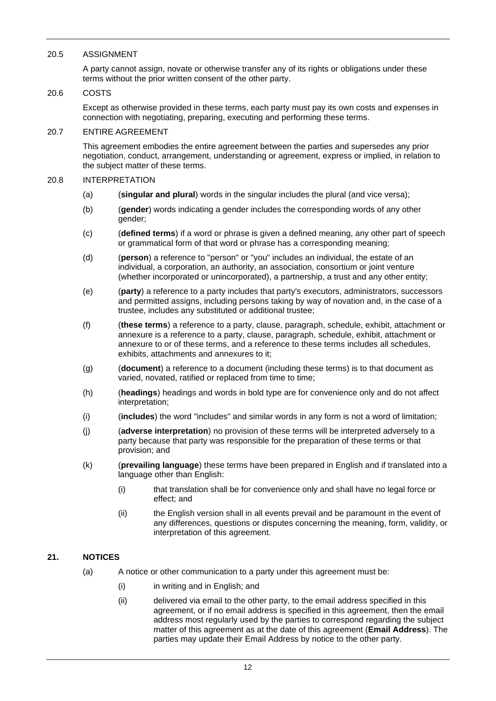### 20.5 ASSIGNMENT

A party cannot assign, novate or otherwise transfer any of its rights or obligations under these terms without the prior written consent of the other party.

### 20.6 COSTS

Except as otherwise provided in these terms, each party must pay its own costs and expenses in connection with negotiating, preparing, executing and performing these terms.

### 20.7 ENTIRE AGREEMENT

This agreement embodies the entire agreement between the parties and supersedes any prior negotiation, conduct, arrangement, understanding or agreement, express or implied, in relation to the subject matter of these terms.

#### 20.8 INTERPRETATION

- (a) (**singular and plural**) words in the singular includes the plural (and vice versa);
- (b) (**gender**) words indicating a gender includes the corresponding words of any other gender;
- (c) (**defined terms**) if a word or phrase is given a defined meaning, any other part of speech or grammatical form of that word or phrase has a corresponding meaning;
- (d) (**person**) a reference to "person" or "you" includes an individual, the estate of an individual, a corporation, an authority, an association, consortium or joint venture (whether incorporated or unincorporated), a partnership, a trust and any other entity;
- (e) (**party**) a reference to a party includes that party's executors, administrators, successors and permitted assigns, including persons taking by way of novation and, in the case of a trustee, includes any substituted or additional trustee;
- (f) (**these terms**) a reference to a party, clause, paragraph, schedule, exhibit, attachment or annexure is a reference to a party, clause, paragraph, schedule, exhibit, attachment or annexure to or of these terms, and a reference to these terms includes all schedules, exhibits, attachments and annexures to it;
- (g) (**document**) a reference to a document (including these terms) is to that document as varied, novated, ratified or replaced from time to time;
- (h) (**headings**) headings and words in bold type are for convenience only and do not affect interpretation;
- (i) (**includes**) the word "includes" and similar words in any form is not a word of limitation;
- (j) (**adverse interpretation**) no provision of these terms will be interpreted adversely to a party because that party was responsible for the preparation of these terms or that provision; and
- (k) (**prevailing language**) these terms have been prepared in English and if translated into a language other than English:
	- (i) that translation shall be for convenience only and shall have no legal force or effect; and
	- (ii) the English version shall in all events prevail and be paramount in the event of any differences, questions or disputes concerning the meaning, form, validity, or interpretation of this agreement.

### **21. NOTICES**

- (a) A notice or other communication to a party under this agreement must be:
	- (i) in writing and in English; and
	- (ii) delivered via email to the other party, to the email address specified in this agreement, or if no email address is specified in this agreement, then the email address most regularly used by the parties to correspond regarding the subject matter of this agreement as at the date of this agreement (**Email Address**). The parties may update their Email Address by notice to the other party.